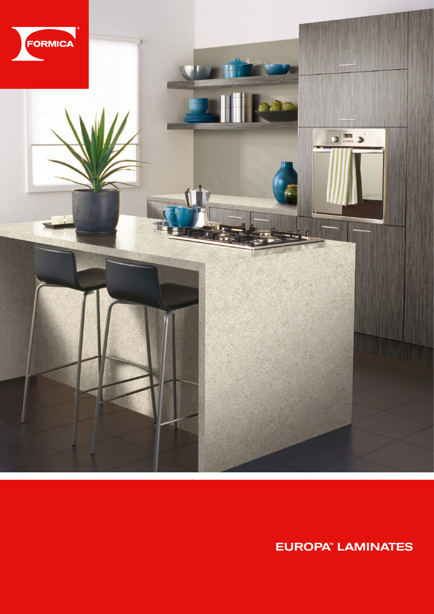

EUROPA™ LAMINATES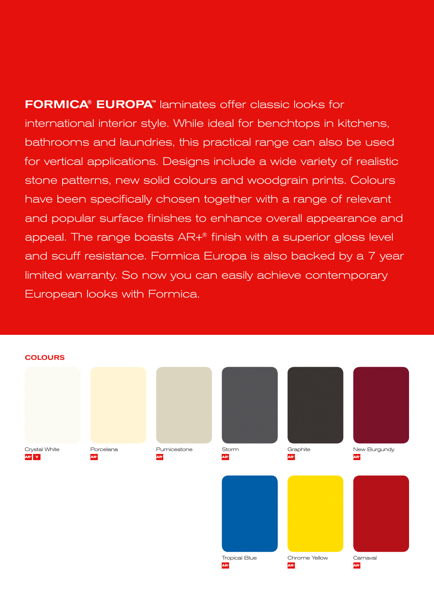FORMICA® EUROPA**™** laminates offer classic looks for international interior style. While ideal for benchtops in kitchens, bathrooms and laundries, this practical range can also be used for vertical applications. Designs include a wide variety of realistic stone patterns, new solid colours and woodgrain prints. Colours have been specifically chosen together with a range of relevant and popular surface finishes to enhance overall appearance and appeal. The range boasts AR+® finish with a superior gloss level and scuff resistance. Formica Europa is also backed by a 7 year limited warranty. So now you can easily achieve contemporary European looks with Formica.

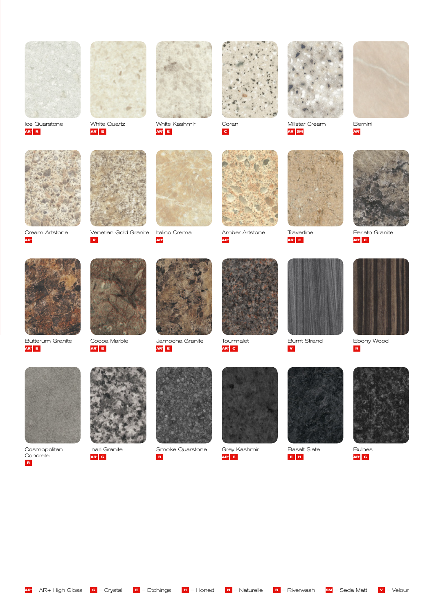



White Quartz **AR+ E**



**AR+ E**







Millstar Cream **AR+ SM**



Bernini **AR+**



**AR+ R**

**AR+**



Venetian Gold Granite **R**

Italico Crema **AR+**



Amber Artstone **AR+**



Travertine **AR+ E**

Perlato Granite **AR+ E**



Butterum Granite **AR+ E**



Cocoa Marble **AR+ E**



Jamocha Granite **AR+ E**



Tourmalet **AR+ C**



Burnt Strand **V**



Ebony Wood **N**



Cosmopolitan Concrete **R**



Inari Granite **AR+ C**



Smoke Quarstone **R**



Grey Kashmir **AR+ E**



Basalt Slate **E H**



Bulnes **AR+ C**